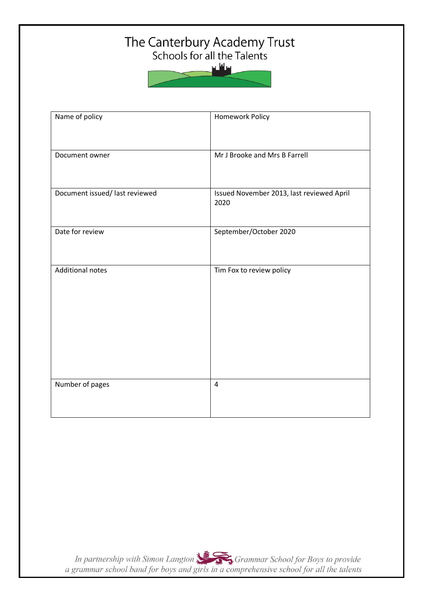# The Canterbury Academy Trust<br>Schools for all the Talents

سافلس

| Name of policy                 | Homework Policy                                   |
|--------------------------------|---------------------------------------------------|
| Document owner                 | Mr J Brooke and Mrs B Farrell                     |
| Document issued/ last reviewed | Issued November 2013, last reviewed April<br>2020 |
| Date for review                | September/October 2020                            |
| <b>Additional notes</b>        | Tim Fox to review policy                          |
| Number of pages                | $\overline{4}$                                    |

In partnership with Simon Langton Sexting Grammar School for Boys to provide<br>a grammar school band for boys and girls in a comprehensive school for all the talents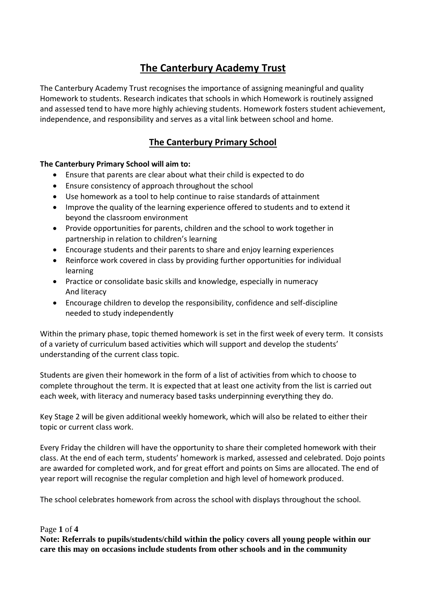## **The Canterbury Academy Trust**

The Canterbury Academy Trust recognises the importance of assigning meaningful and quality Homework to students. Research indicates that schools in which Homework is routinely assigned and assessed tend to have more highly achieving students. Homework fosters student achievement, independence, and responsibility and serves as a vital link between school and home.

## **The Canterbury Primary School**

#### **The Canterbury Primary School will aim to:**

- Ensure that parents are clear about what their child is expected to do
- Ensure consistency of approach throughout the school
- Use homework as a tool to help continue to raise standards of attainment
- Improve the quality of the learning experience offered to students and to extend it beyond the classroom environment
- Provide opportunities for parents, children and the school to work together in partnership in relation to children's learning
- Encourage students and their parents to share and enjoy learning experiences
- Reinforce work covered in class by providing further opportunities for individual learning
- Practice or consolidate basic skills and knowledge, especially in numeracy And literacy
- Encourage children to develop the responsibility, confidence and self-discipline needed to study independently

Within the primary phase, topic themed homework is set in the first week of every term. It consists of a variety of curriculum based activities which will support and develop the students' understanding of the current class topic.

Students are given their homework in the form of a list of activities from which to choose to complete throughout the term. It is expected that at least one activity from the list is carried out each week, with literacy and numeracy based tasks underpinning everything they do.

Key Stage 2 will be given additional weekly homework, which will also be related to either their topic or current class work.

Every Friday the children will have the opportunity to share their completed homework with their class. At the end of each term, students' homework is marked, assessed and celebrated. Dojo points are awarded for completed work, and for great effort and points on Sims are allocated. The end of year report will recognise the regular completion and high level of homework produced.

The school celebrates homework from across the school with displays throughout the school.

#### Page **1** of **4**

**Note: Referrals to pupils/students/child within the policy covers all young people within our care this may on occasions include students from other schools and in the community**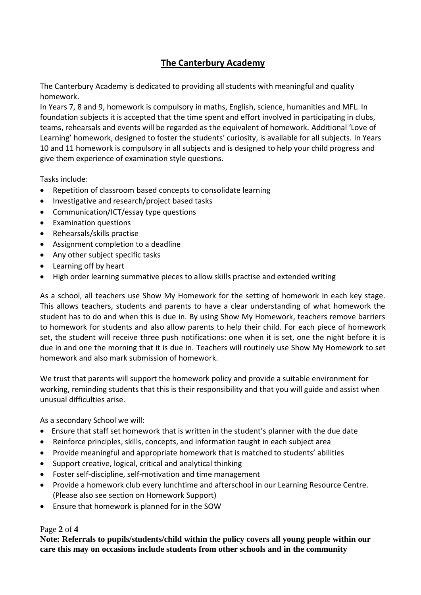## **The Canterbury Academy**

The Canterbury Academy is dedicated to providing all students with meaningful and quality homework.

In Years 7, 8 and 9, homework is compulsory in maths, English, science, humanities and MFL. In foundation subjects it is accepted that the time spent and effort involved in participating in clubs, teams, rehearsals and events will be regarded as the equivalent of homework. Additional 'Love of Learning' homework, designed to foster the students' curiosity, is available for all subjects. In Years 10 and 11 homework is compulsory in all subjects and is designed to help your child progress and give them experience of examination style questions.

Tasks include:

- Repetition of classroom based concepts to consolidate learning
- Investigative and research/project based tasks
- Communication/ICT/essay type questions
- Examination questions
- Rehearsals/skills practise
- Assignment completion to a deadline
- Any other subject specific tasks
- Learning off by heart
- High order learning summative pieces to allow skills practise and extended writing

As a school, all teachers use Show My Homework for the setting of homework in each key stage. This allows teachers, students and parents to have a clear understanding of what homework the student has to do and when this is due in. By using Show My Homework, teachers remove barriers to homework for students and also allow parents to help their child. For each piece of homework set, the student will receive three push notifications: one when it is set, one the night before it is due in and one the morning that it is due in. Teachers will routinely use Show My Homework to set homework and also mark submission of homework.

We trust that parents will support the homework policy and provide a suitable environment for working, reminding students that this is their responsibility and that you will guide and assist when unusual difficulties arise.

As a secondary School we will:

- Ensure that staff set homework that is written in the student's planner with the due date
- Reinforce principles, skills, concepts, and information taught in each subject area
- Provide meaningful and appropriate homework that is matched to students' abilities
- Support creative, logical, critical and analytical thinking
- Foster self-discipline, self-motivation and time management
- Provide a homework club every lunchtime and afterschool in our Learning Resource Centre. (Please also see section on Homework Support)
- Ensure that homework is planned for in the SOW

#### Page **2** of **4**

**Note: Referrals to pupils/students/child within the policy covers all young people within our care this may on occasions include students from other schools and in the community**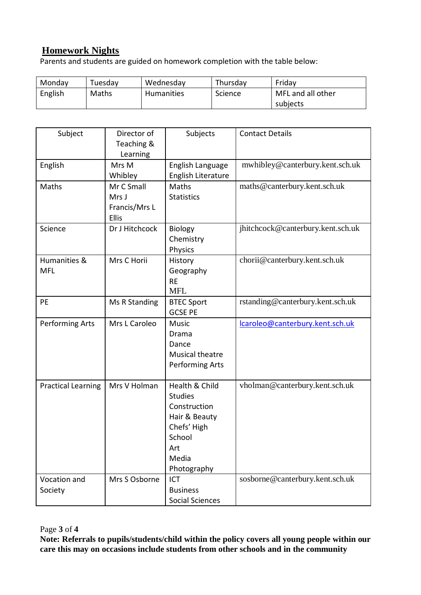## **Homework Nights**

Parents and students are guided on homework completion with the table below:

| Monday  | Tuesday | Wednesday  | Thursday | Friday            |
|---------|---------|------------|----------|-------------------|
| English | Maths   | Humanities | Science  | MFL and all other |
|         |         |            |          | subjects          |

| Subject                   | Director of<br>Teaching & | Subjects               | <b>Contact Details</b>            |
|---------------------------|---------------------------|------------------------|-----------------------------------|
|                           | Learning                  |                        |                                   |
| English                   | Mrs M                     | English Language       | mwhibley@canterbury.kent.sch.uk   |
|                           | Whibley                   | English Literature     |                                   |
| Maths                     | Mr C Small                | Maths                  | maths@canterbury.kent.sch.uk      |
|                           | Mrs J                     | <b>Statistics</b>      |                                   |
|                           | Francis/Mrs L             |                        |                                   |
|                           | <b>Ellis</b>              |                        |                                   |
| Science                   | Dr J Hitchcock            | <b>Biology</b>         | jhitchcock@canterbury.kent.sch.uk |
|                           |                           | Chemistry              |                                   |
|                           |                           | Physics                |                                   |
| Humanities &              | Mrs C Horii               | History                | chorii@canterbury.kent.sch.uk     |
| <b>MFL</b>                |                           | Geography              |                                   |
|                           |                           | <b>RE</b>              |                                   |
|                           |                           | <b>MFL</b>             |                                   |
| <b>PE</b>                 | Ms R Standing             | <b>BTEC Sport</b>      | rstanding@canterbury.kent.sch.uk  |
|                           |                           | <b>GCSE PE</b>         |                                   |
| Performing Arts           | Mrs L Caroleo             | Music                  | lcaroleo@canterbury.kent.sch.uk   |
|                           |                           | Drama                  |                                   |
|                           |                           | Dance                  |                                   |
|                           |                           | Musical theatre        |                                   |
|                           |                           | Performing Arts        |                                   |
|                           |                           |                        |                                   |
| <b>Practical Learning</b> | Mrs V Holman              | Health & Child         | vholman@canterbury.kent.sch.uk    |
|                           |                           | <b>Studies</b>         |                                   |
|                           |                           | Construction           |                                   |
|                           |                           | Hair & Beauty          |                                   |
|                           |                           | Chefs' High            |                                   |
|                           |                           | School                 |                                   |
|                           |                           | Art                    |                                   |
|                           |                           | Media                  |                                   |
|                           |                           | Photography            |                                   |
| Vocation and              | Mrs S Osborne             | ICT                    | sosborne@canterbury.kent.sch.uk   |
| Society                   |                           | <b>Business</b>        |                                   |
|                           |                           | <b>Social Sciences</b> |                                   |

Page **3** of **4**

**Note: Referrals to pupils/students/child within the policy covers all young people within our care this may on occasions include students from other schools and in the community**